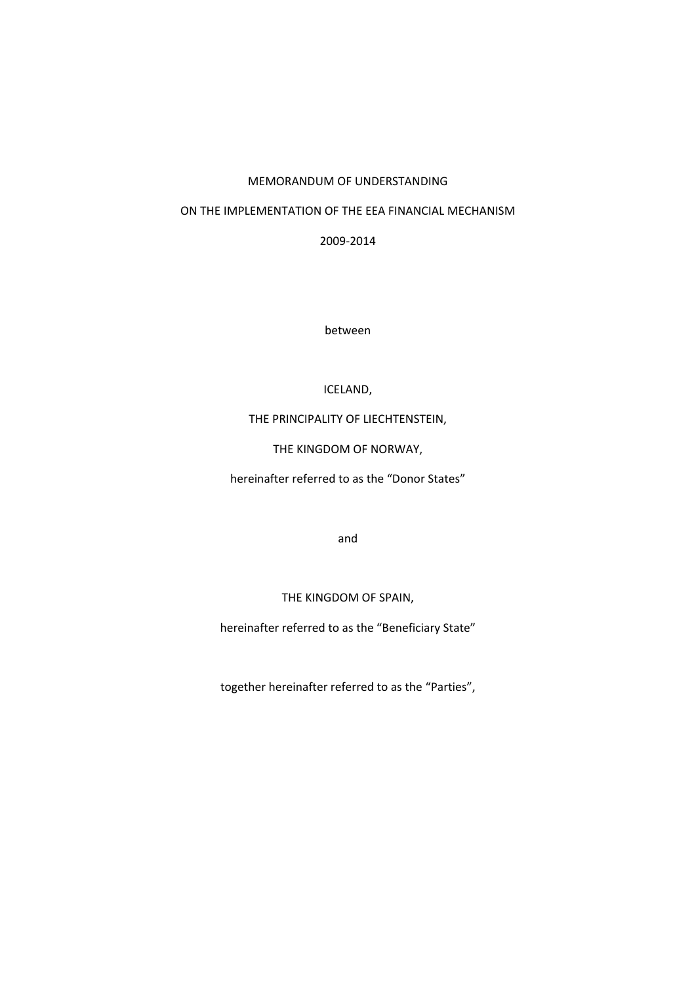#### MEMORANDUM OF UNDERSTANDING

#### ON THE IMPLEMENTATION OF THE EEA FINANCIAL MECHANISM

2009‐2014

between

#### ICELAND,

### THE PRINCIPALITY OF LIECHTENSTEIN,

THE KINGDOM OF NORWAY,

hereinafter referred to as the "Donor States"

and

THE KINGDOM OF SPAIN,

hereinafter referred to as the "Beneficiary State"

together hereinafter referred to as the "Parties",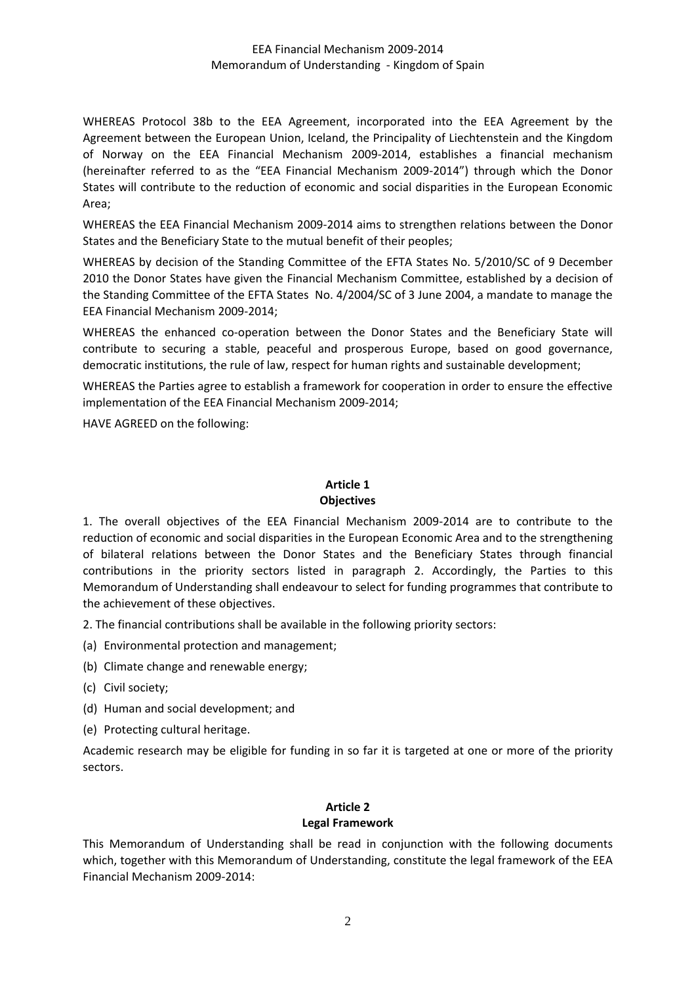### EEA Financial Mechanism 2009‐2014 Memorandum of Understanding ‐ Kingdom of Spain

WHEREAS Protocol 38b to the EEA Agreement, incorporated into the EEA Agreement by the Agreement between the European Union, Iceland, the Principality of Liechtenstein and the Kingdom of Norway on the EEA Financial Mechanism 2009‐2014, establishes a financial mechanism (hereinafter referred to as the "EEA Financial Mechanism 2009‐2014") through which the Donor States will contribute to the reduction of economic and social disparities in the European Economic Area;

WHEREAS the EEA Financial Mechanism 2009‐2014 aims to strengthen relations between the Donor States and the Beneficiary State to the mutual benefit of their peoples;

WHEREAS by decision of the Standing Committee of the EFTA States No. 5/2010/SC of 9 December 2010 the Donor States have given the Financial Mechanism Committee, established by a decision of the Standing Committee of the EFTA States No. 4/2004/SC of 3 June 2004, a mandate to manage the EEA Financial Mechanism 2009‐2014;

WHEREAS the enhanced co-operation between the Donor States and the Beneficiary State will contribute to securing a stable, peaceful and prosperous Europe, based on good governance, democratic institutions, the rule of law, respect for human rights and sustainable development;

WHEREAS the Parties agree to establish a framework for cooperation in order to ensure the effective implementation of the EEA Financial Mechanism 2009‐2014;

HAVE AGREED on the following:

### **Article 1 Objectives**

1. The overall objectives of the EEA Financial Mechanism 2009‐2014 are to contribute to the reduction of economic and social disparities in the European Economic Area and to the strengthening of bilateral relations between the Donor States and the Beneficiary States through financial contributions in the priority sectors listed in paragraph 2. Accordingly, the Parties to this Memorandum of Understanding shall endeavour to select for funding programmes that contribute to the achievement of these objectives.

2. The financial contributions shall be available in the following priority sectors:

(a) Environmental protection and management;

(b) Climate change and renewable energy;

(c) Civil society;

(d) Human and social development; and

(e) Protecting cultural heritage.

Academic research may be eligible for funding in so far it is targeted at one or more of the priority sectors.

# **Article 2**

#### **Legal Framework**

This Memorandum of Understanding shall be read in conjunction with the following documents which, together with this Memorandum of Understanding, constitute the legal framework of the EEA Financial Mechanism 2009‐2014: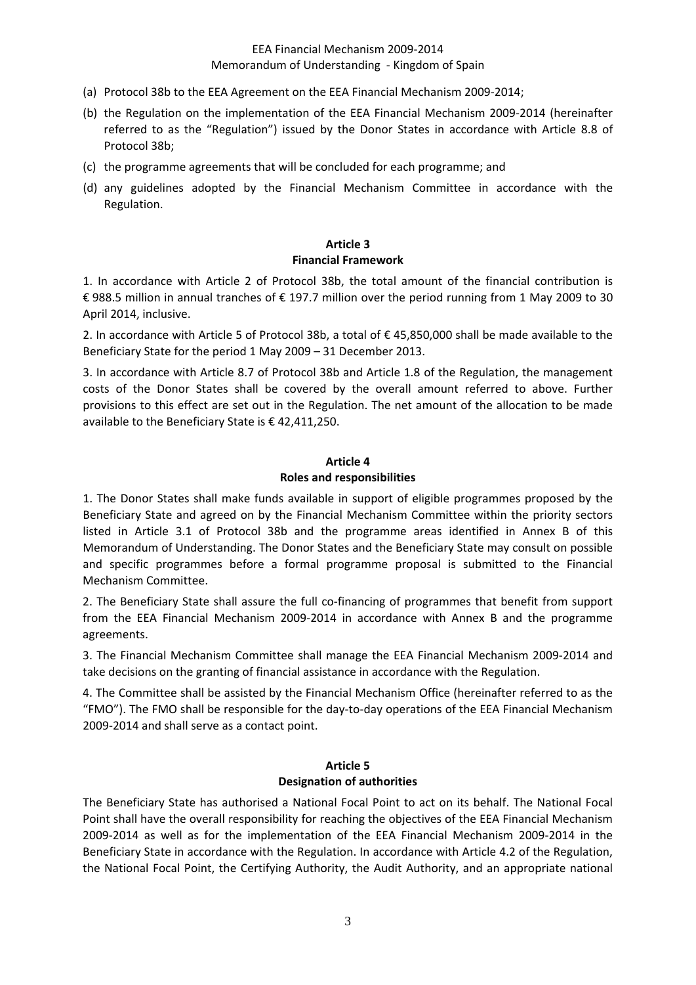### EEA Financial Mechanism 2009‐2014 Memorandum of Understanding ‐ Kingdom of Spain

- (a) Protocol 38b to the EEA Agreement on the EEA Financial Mechanism 2009‐2014;
- (b) the Regulation on the implementation of the EEA Financial Mechanism 2009‐2014 (hereinafter referred to as the "Regulation") issued by the Donor States in accordance with Article 8.8 of Protocol 38b;
- (c) the programme agreements that will be concluded for each programme; and
- (d) any guidelines adopted by the Financial Mechanism Committee in accordance with the Regulation.

### **Article 3 Financial Framework**

1. In accordance with Article 2 of Protocol 38b, the total amount of the financial contribution is € 988.5 million in annual tranches of € 197.7 million over the period running from 1 May 2009 to 30 April 2014, inclusive.

2. In accordance with Article 5 of Protocol 38b, a total of € 45,850,000 shall be made available to the Beneficiary State for the period 1 May 2009 – 31 December 2013.

3. In accordance with Article 8.7 of Protocol 38b and Article 1.8 of the Regulation, the management costs of the Donor States shall be covered by the overall amount referred to above. Further provisions to this effect are set out in the Regulation. The net amount of the allocation to be made available to the Beneficiary State is € 42,411,250.

#### **Article 4**

#### **Roles and responsibilities**

1. The Donor States shall make funds available in support of eligible programmes proposed by the Beneficiary State and agreed on by the Financial Mechanism Committee within the priority sectors listed in Article 3.1 of Protocol 38b and the programme areas identified in Annex B of this Memorandum of Understanding. The Donor States and the Beneficiary State may consult on possible and specific programmes before a formal programme proposal is submitted to the Financial Mechanism Committee.

2. The Beneficiary State shall assure the full co-financing of programmes that benefit from support from the EEA Financial Mechanism 2009‐2014 in accordance with Annex B and the programme agreements.

3. The Financial Mechanism Committee shall manage the EEA Financial Mechanism 2009‐2014 and take decisions on the granting of financial assistance in accordance with the Regulation.

4. The Committee shall be assisted by the Financial Mechanism Office (hereinafter referred to as the "FMO"). The FMO shall be responsible for the day‐to‐day operations of the EEA Financial Mechanism 2009‐2014 and shall serve as a contact point.

#### **Article 5 Designation of authorities**

The Beneficiary State has authorised a National Focal Point to act on its behalf. The National Focal Point shall have the overall responsibility for reaching the objectives of the EEA Financial Mechanism 2009‐2014 as well as for the implementation of the EEA Financial Mechanism 2009‐2014 in the Beneficiary State in accordance with the Regulation. In accordance with Article 4.2 of the Regulation, the National Focal Point, the Certifying Authority, the Audit Authority, and an appropriate national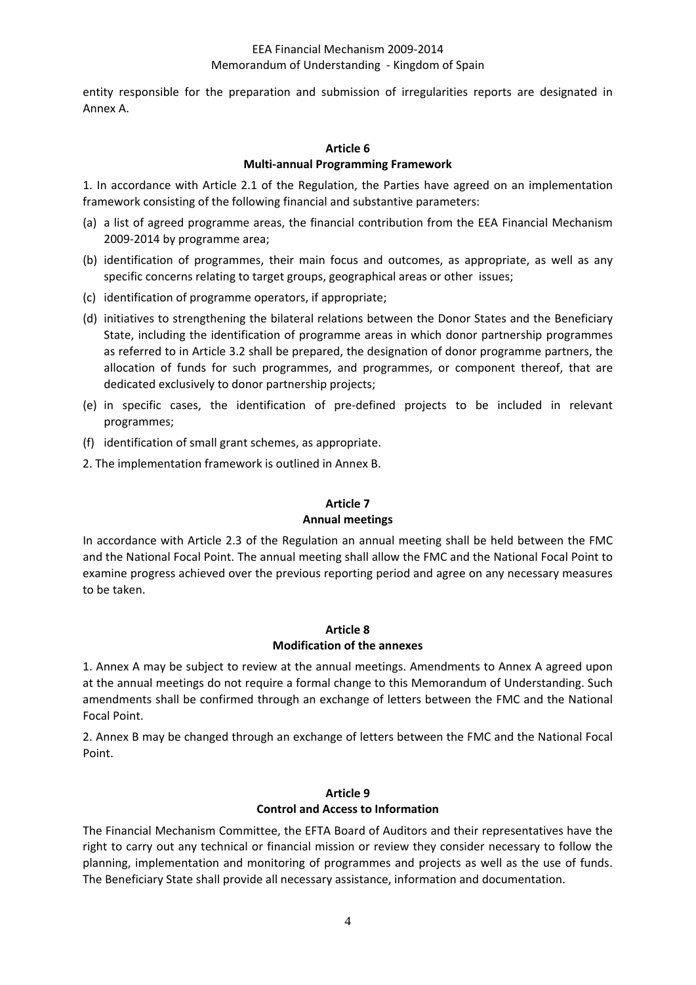entity responsible for the preparation and submission of irregularities reports are designated in Annex A.

## **Article 6 Multi‐annual Programming Framework**

1. In accordance with Article 2.1 of the Regulation, the Parties have agreed on an implementation framework consisting of the following financial and substantive parameters:

- (a) a list of agreed programme areas, the financial contribution from the EEA Financial Mechanism 2009‐2014 by programme area;
- (b) identification of programmes, their main focus and outcomes, as appropriate, as well as any specific concerns relating to target groups, geographical areas or other issues;
- (c) identification of programme operators, if appropriate;
- (d) initiatives to strengthening the bilateral relations between the Donor States and the Beneficiary State, including the identification of programme areas in which donor partnership programmes as referred to in Article 3.2 shall be prepared, the designation of donor programme partners, the allocation of funds for such programmes, and programmes, or component thereof, that are dedicated exclusively to donor partnership projects;
- (e) in specific cases, the identification of pre‐defined projects to be included in relevant programmes;
- (f) identification of small grant schemes, as appropriate.
- 2. The implementation framework is outlined in Annex B.

# **Article 7 Annual meetings**

In accordance with Article 2.3 of the Regulation an annual meeting shall be held between the FMC and the National Focal Point. The annual meeting shall allow the FMC and the National Focal Point to examine progress achieved over the previous reporting period and agree on any necessary measures to be taken.

# **Article 8 Modification of the annexes**

1. Annex A may be subject to review at the annual meetings. Amendments to Annex A agreed upon at the annual meetings do not require a formal change to this Memorandum of Understanding. Such amendments shall be confirmed through an exchange of letters between the FMC and the National Focal Point.

2. Annex B may be changed through an exchange of letters between the FMC and the National Focal Point.

#### **Article 9 Control and Access to Information**

The Financial Mechanism Committee, the EFTA Board of Auditors and their representatives have the right to carry out any technical or financial mission or review they consider necessary to follow the planning, implementation and monitoring of programmes and projects as well as the use of funds. The Beneficiary State shall provide all necessary assistance, information and documentation.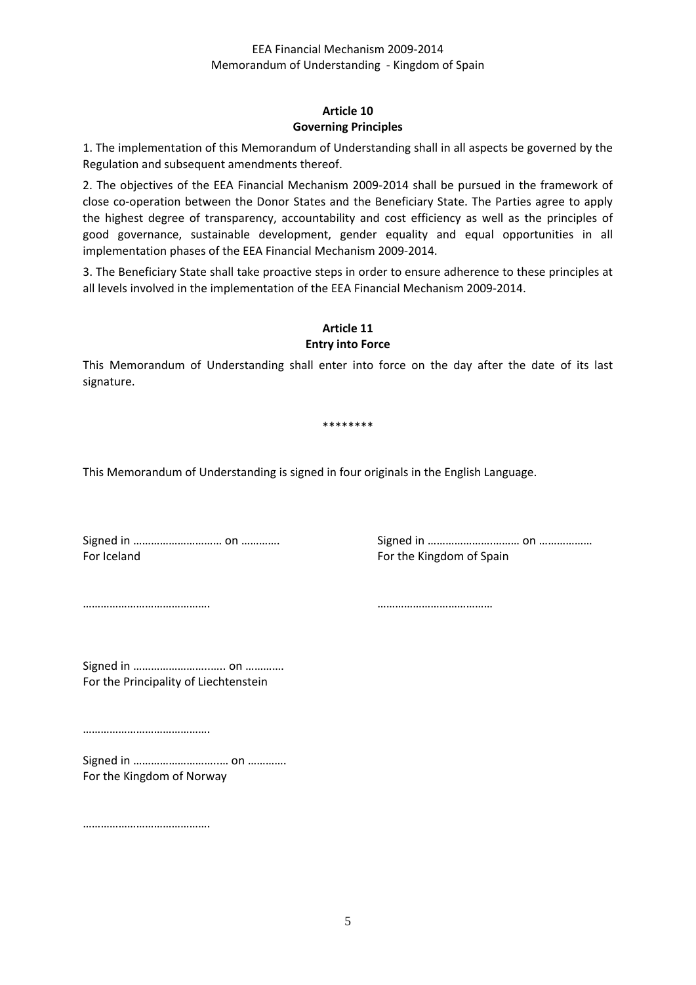# **Article 10 Governing Principles**

1. The implementation of this Memorandum of Understanding shall in all aspects be governed by the Regulation and subsequent amendments thereof.

2. The objectives of the EEA Financial Mechanism 2009‐2014 shall be pursued in the framework of close co-operation between the Donor States and the Beneficiary State. The Parties agree to apply the highest degree of transparency, accountability and cost efficiency as well as the principles of good governance, sustainable development, gender equality and equal opportunities in all implementation phases of the EEA Financial Mechanism 2009‐2014.

3. The Beneficiary State shall take proactive steps in order to ensure adherence to these principles at all levels involved in the implementation of the EEA Financial Mechanism 2009‐2014.

#### **Article 11 Entry into Force**

This Memorandum of Understanding shall enter into force on the day after the date of its last signature.

#### \*\*\*\*\*\*\*\*

This Memorandum of Understanding is signed in four originals in the English Language.

For Iceland For the Kingdom of Spain

Signed in ………………………… on …………. Signed in ………………….……… on ………………

……………………………………. …………………………………

Signed in ……………………..….. on …………. For the Principality of Liechtenstein

…………………………………….

Signed in ………………………..… on …………. For the Kingdom of Norway

………………………………………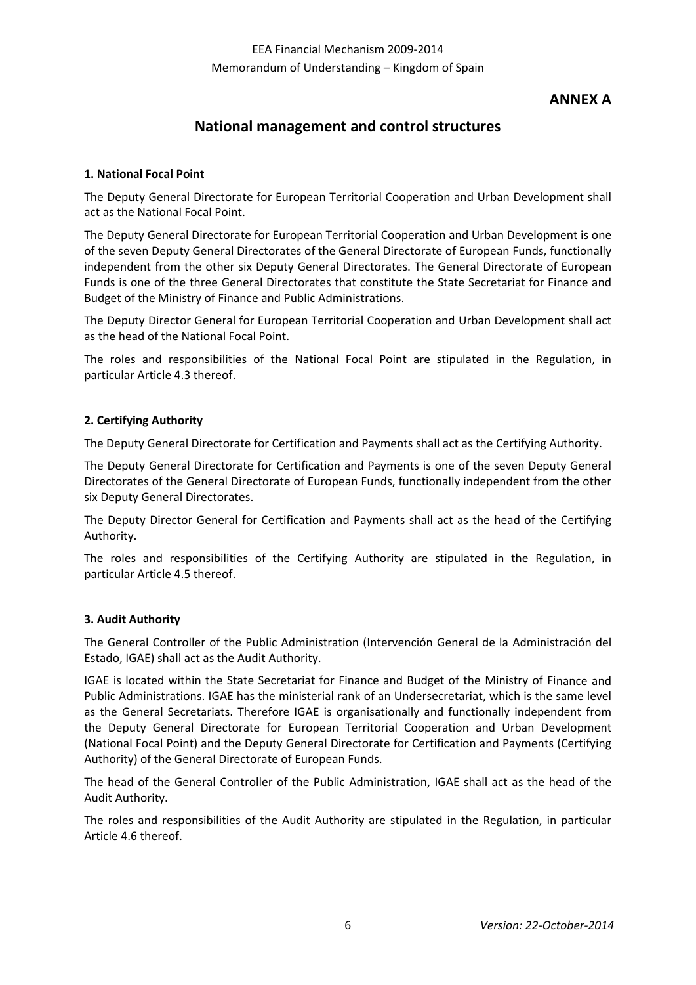# **ANNEX A**

# **National management and control structures**

## **1. National Focal Point**

The Deputy General Directorate for European Territorial Cooperation and Urban Development shall act as the National Focal Point.

The Deputy General Directorate for European Territorial Cooperation and Urban Development is one of the seven Deputy General Directorates of the General Directorate of European Funds, functionally independent from the other six Deputy General Directorates. The General Directorate of European Funds is one of the three General Directorates that constitute the State Secretariat for Finance and Budget of the Ministry of Finance and Public Administrations.

The Deputy Director General for European Territorial Cooperation and Urban Development shall act as the head of the National Focal Point.

The roles and responsibilities of the National Focal Point are stipulated in the Regulation, in particular Article 4.3 thereof.

### **2. Certifying Authority**

The Deputy General Directorate for Certification and Payments shall act as the Certifying Authority.

The Deputy General Directorate for Certification and Payments is one of the seven Deputy General Directorates of the General Directorate of European Funds, functionally independent from the other six Deputy General Directorates.

The Deputy Director General for Certification and Payments shall act as the head of the Certifying Authority.

The roles and responsibilities of the Certifying Authority are stipulated in the Regulation, in particular Article 4.5 thereof.

#### **3. Audit Authority**

The General Controller of the Public Administration (Intervención General de la Administración del Estado, IGAE) shall act as the Audit Authority.

IGAE is located within the State Secretariat for Finance and Budget of the Ministry of Finance and Public Administrations. IGAE has the ministerial rank of an Undersecretariat, which is the same level as the General Secretariats. Therefore IGAE is organisationally and functionally independent from the Deputy General Directorate for European Territorial Cooperation and Urban Development (National Focal Point) and the Deputy General Directorate for Certification and Payments (Certifying Authority) of the General Directorate of European Funds.

The head of the General Controller of the Public Administration, IGAE shall act as the head of the Audit Authority.

The roles and responsibilities of the Audit Authority are stipulated in the Regulation, in particular Article 4.6 thereof.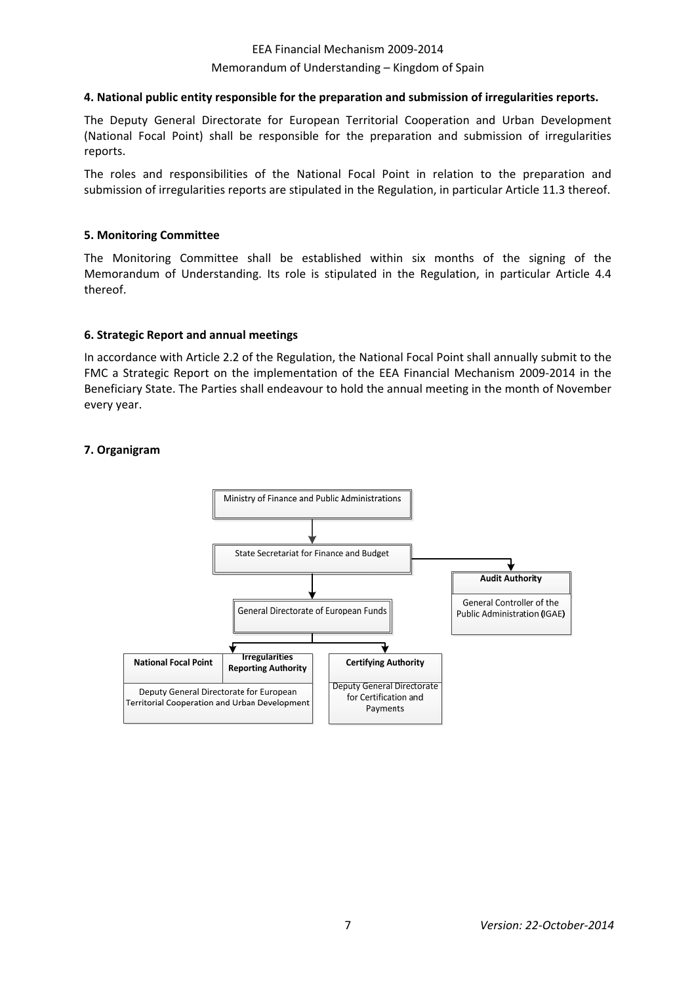# EEA Financial Mechanism 2009‐2014 Memorandum of Understanding – Kingdom of Spain

#### **4. National public entity responsible for the preparation and submission of irregularities reports.**

The Deputy General Directorate for European Territorial Cooperation and Urban Development (National Focal Point) shall be responsible for the preparation and submission of irregularities reports.

The roles and responsibilities of the National Focal Point in relation to the preparation and submission of irregularities reports are stipulated in the Regulation, in particular Article 11.3 thereof.

#### **5. Monitoring Committee**

The Monitoring Committee shall be established within six months of the signing of the Memorandum of Understanding. Its role is stipulated in the Regulation, in particular Article 4.4 thereof.

#### **6. Strategic Report and annual meetings**

In accordance with Article 2.2 of the Regulation, the National Focal Point shall annually submit to the FMC a Strategic Report on the implementation of the EEA Financial Mechanism 2009-2014 in the Beneficiary State. The Parties shall endeavour to hold the annual meeting in the month of November every year.

#### **7. Organigram**

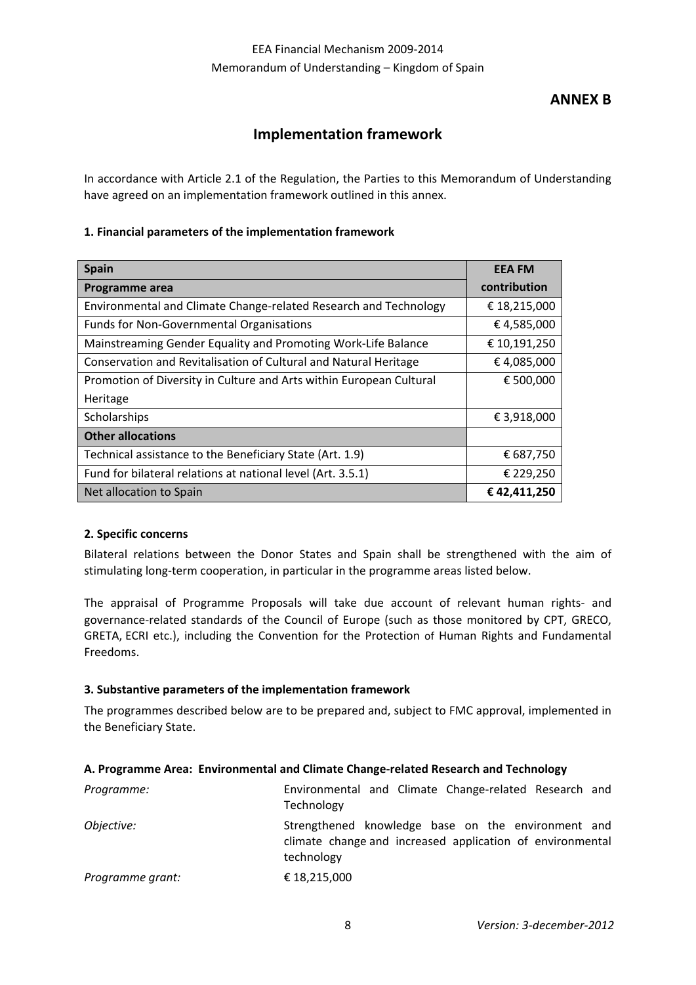# **ANNEX B**

# **Implementation framework**

In accordance with Article 2.1 of the Regulation, the Parties to this Memorandum of Understanding have agreed on an implementation framework outlined in this annex.

### **1. Financial parameters of the implementation framework**

| <b>Spain</b>                                                        | <b>EEA FM</b> |
|---------------------------------------------------------------------|---------------|
| Programme area                                                      | contribution  |
| Environmental and Climate Change-related Research and Technology    | € 18,215,000  |
| <b>Funds for Non-Governmental Organisations</b>                     | €4,585,000    |
| Mainstreaming Gender Equality and Promoting Work-Life Balance       | € 10,191,250  |
| Conservation and Revitalisation of Cultural and Natural Heritage    | €4,085,000    |
| Promotion of Diversity in Culture and Arts within European Cultural | € 500,000     |
| Heritage                                                            |               |
| Scholarships                                                        | € 3,918,000   |
| <b>Other allocations</b>                                            |               |
| Technical assistance to the Beneficiary State (Art. 1.9)            | € 687,750     |
| Fund for bilateral relations at national level (Art. 3.5.1)         | € 229,250     |
| Net allocation to Spain                                             | €42,411,250   |

# **2. Specific concerns**

Bilateral relations between the Donor States and Spain shall be strengthened with the aim of stimulating long‐term cooperation, in particular in the programme areas listed below.

The appraisal of Programme Proposals will take due account of relevant human rights- and governance-related standards of the Council of Europe (such as those monitored by CPT, GRECO, GRETA, ECRI etc.), including the Convention for the Protection of Human Rights and Fundamental Freedoms.

#### **3. Substantive parameters of the implementation framework**

The programmes described below are to be prepared and, subject to FMC approval, implemented in the Beneficiary State.

#### **A. Programme Area: Environmental and Climate Change‐related Research and Technology**

| Programme:       | Environmental and Climate Change-related Research and<br>Technology                                                           |
|------------------|-------------------------------------------------------------------------------------------------------------------------------|
| Objective:       | Strengthened knowledge base on the environment and<br>climate change and increased application of environmental<br>technology |
| Programme grant: | € 18,215,000                                                                                                                  |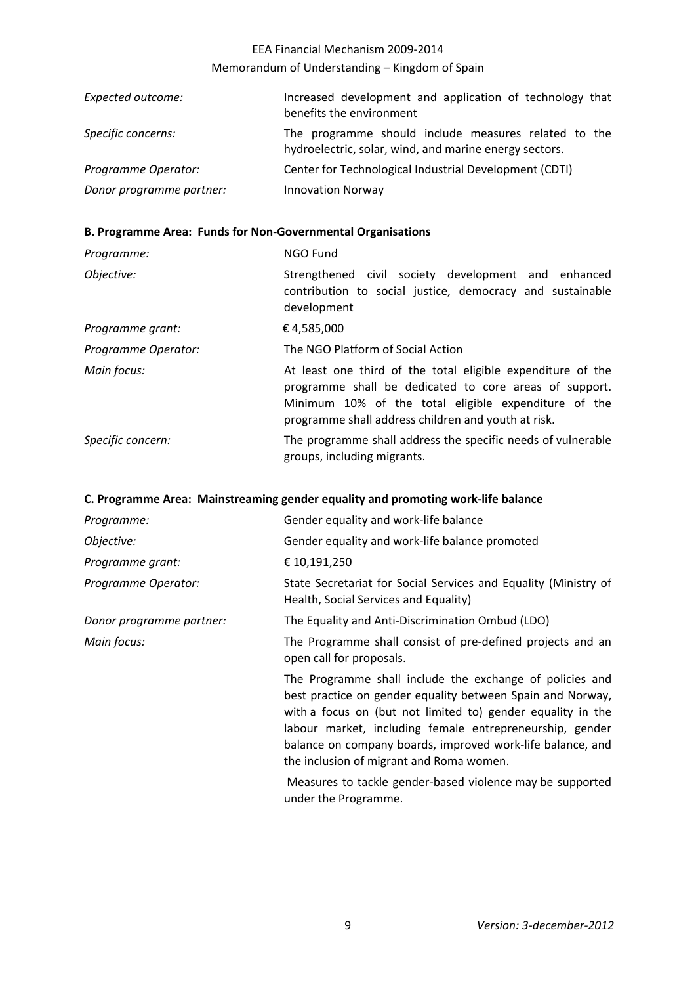# EEA Financial Mechanism 2009‐2014 Memorandum of Understanding – Kingdom of Spain

| Expected outcome:        | Increased development and application of technology that<br>benefits the environment                           |
|--------------------------|----------------------------------------------------------------------------------------------------------------|
| Specific concerns:       | The programme should include measures related to the<br>hydroelectric, solar, wind, and marine energy sectors. |
| Programme Operator:      | Center for Technological Industrial Development (CDTI)                                                         |
| Donor programme partner: | <b>Innovation Norway</b>                                                                                       |

# **B. Programme Area: Funds for Non‐Governmental Organisations**

| Programme:          | NGO Fund                                                                                                                                                                                                                             |
|---------------------|--------------------------------------------------------------------------------------------------------------------------------------------------------------------------------------------------------------------------------------|
| Objective:          | Strengthened civil society development and enhanced<br>contribution to social justice, democracy and sustainable<br>development                                                                                                      |
| Programme grant:    | €4,585,000                                                                                                                                                                                                                           |
| Programme Operator: | The NGO Platform of Social Action                                                                                                                                                                                                    |
| Main focus:         | At least one third of the total eligible expenditure of the<br>programme shall be dedicated to core areas of support.<br>Minimum 10% of the total eligible expenditure of the<br>programme shall address children and youth at risk. |
| Specific concern:   | The programme shall address the specific needs of vulnerable<br>groups, including migrants.                                                                                                                                          |

# **C. Programme Area: Mainstreaming gender equality and promoting work‐life balance**

| Programme:               | Gender equality and work-life balance                                                                                                                                                                                                                                                                                                                       |
|--------------------------|-------------------------------------------------------------------------------------------------------------------------------------------------------------------------------------------------------------------------------------------------------------------------------------------------------------------------------------------------------------|
| Objective:               | Gender equality and work-life balance promoted                                                                                                                                                                                                                                                                                                              |
| Programme grant:         | € 10,191,250                                                                                                                                                                                                                                                                                                                                                |
| Programme Operator:      | State Secretariat for Social Services and Equality (Ministry of<br>Health, Social Services and Equality)                                                                                                                                                                                                                                                    |
| Donor programme partner: | The Equality and Anti-Discrimination Ombud (LDO)                                                                                                                                                                                                                                                                                                            |
| Main focus:              | The Programme shall consist of pre-defined projects and an<br>open call for proposals.                                                                                                                                                                                                                                                                      |
|                          | The Programme shall include the exchange of policies and<br>best practice on gender equality between Spain and Norway,<br>with a focus on (but not limited to) gender equality in the<br>labour market, including female entrepreneurship, gender<br>balance on company boards, improved work-life balance, and<br>the inclusion of migrant and Roma women. |
|                          | Measures to tackle gender-based violence may be supported<br>under the Programme.                                                                                                                                                                                                                                                                           |